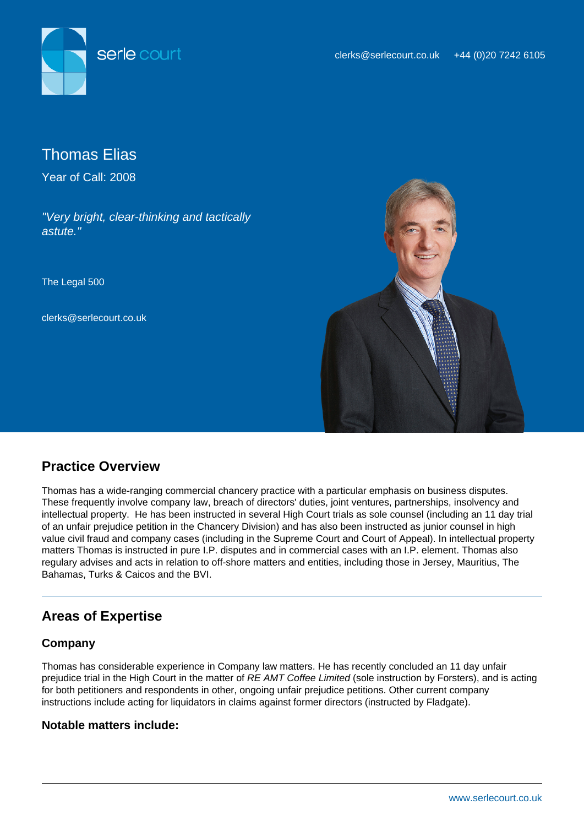



Thomas Elias

Year of Call: 2008

"Very bright, clear-thinking and tactically astute."

The Legal 500

clerks@serlecourt.co.uk



# **Practice Overview**

Thomas has a wide-ranging commercial chancery practice with a particular emphasis on business disputes. These frequently involve company law, breach of directors' duties, joint ventures, partnerships, insolvency and intellectual property. He has been instructed in several High Court trials as sole counsel (including an 11 day trial of an unfair prejudice petition in the Chancery Division) and has also been instructed as junior counsel in high value civil fraud and company cases (including in the Supreme Court and Court of Appeal). In intellectual property matters Thomas is instructed in pure I.P. disputes and in commercial cases with an I.P. element. Thomas also regulary advises and acts in relation to off-shore matters and entities, including those in Jersey, Mauritius, The Bahamas, Turks & Caicos and the BVI.

# **Areas of Expertise**

## **Company**

Thomas has considerable experience in Company law matters. He has recently concluded an 11 day unfair prejudice trial in the High Court in the matter of RE AMT Coffee Limited (sole instruction by Forsters), and is acting for both petitioners and respondents in other, ongoing unfair prejudice petitions. Other current company instructions include acting for liquidators in claims against former directors (instructed by Fladgate).

## **Notable matters include:**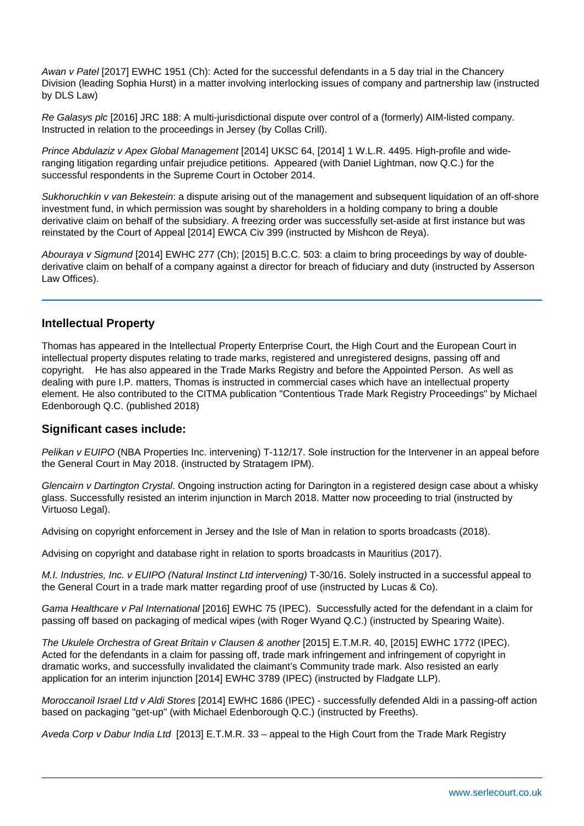Awan v Patel [2017] EWHC 1951 (Ch): Acted for the successful defendants in a 5 day trial in the Chancery Division (leading Sophia Hurst) in a matter involving interlocking issues of company and partnership law (instructed by DLS Law)

Re Galasys plc [2016] JRC 188: A multi-jurisdictional dispute over control of a (formerly) AIM-listed company. Instructed in relation to the proceedings in Jersey (by Collas Crill).

Prince Abdulaziz v Apex Global Management [2014] UKSC 64, [2014] 1 W.L.R. 4495. High-profile and wideranging litigation regarding unfair prejudice petitions. Appeared (with Daniel Lightman, now Q.C.) for the successful respondents in the Supreme Court in October 2014.

Sukhoruchkin v van Bekestein: a dispute arising out of the management and subsequent liquidation of an off-shore investment fund, in which permission was sought by shareholders in a holding company to bring a double derivative claim on behalf of the subsidiary. A freezing order was successfully set-aside at first instance but was reinstated by the Court of Appeal [2014] EWCA Civ 399 (instructed by Mishcon de Reya).

Abouraya v Sigmund [2014] EWHC 277 (Ch); [2015] B.C.C. 503: a claim to bring proceedings by way of doublederivative claim on behalf of a company against a director for breach of fiduciary and duty (instructed by Asserson Law Offices).

#### **Intellectual Property**

Thomas has appeared in the Intellectual Property Enterprise Court, the High Court and the European Court in intellectual property disputes relating to trade marks, registered and unregistered designs, passing off and copyright. He has also appeared in the Trade Marks Registry and before the Appointed Person. As well as dealing with pure I.P. matters, Thomas is instructed in commercial cases which have an intellectual property element. He also contributed to the CITMA publication "Contentious Trade Mark Registry Proceedings" by Michael Edenborough Q.C. (published 2018)

#### **Significant cases include:**

Pelikan v EUIPO (NBA Properties Inc. intervening) T-112/17. Sole instruction for the Intervener in an appeal before the General Court in May 2018. (instructed by Stratagem IPM).

Glencairn v Dartington Crystal. Ongoing instruction acting for Darington in a registered design case about a whisky glass. Successfully resisted an interim injunction in March 2018. Matter now proceeding to trial (instructed by Virtuoso Legal).

Advising on copyright enforcement in Jersey and the Isle of Man in relation to sports broadcasts (2018).

Advising on copyright and database right in relation to sports broadcasts in Mauritius (2017).

M.I. Industries, Inc. y EUIPO (Natural Instinct Ltd intervening) T-30/16. Solely instructed in a successful appeal to the General Court in a trade mark matter regarding proof of use (instructed by Lucas & Co).

Gama Healthcare v Pal International [2016] EWHC 75 (IPEC). Successfully acted for the defendant in a claim for passing off based on packaging of medical wipes (with Roger Wyand Q.C.) (instructed by Spearing Waite).

The Ukulele Orchestra of Great Britain v Clausen & another [2015] E.T.M.R. 40, [2015] EWHC 1772 (IPEC). Acted for the defendants in a claim for passing off, trade mark infringement and infringement of copyright in dramatic works, and successfully invalidated the claimant's Community trade mark. Also resisted an early application for an interim injunction [2014] EWHC 3789 (IPEC) (instructed by Fladgate LLP).

Moroccanoil Israel Ltd v Aldi Stores [2014] EWHC 1686 (IPEC) - successfully defended Aldi in a passing-off action based on packaging "get-up" (with Michael Edenborough Q.C.) (instructed by Freeths).

Aveda Corp v Dabur India Ltd [2013] E.T.M.R. 33 – appeal to the High Court from the Trade Mark Registry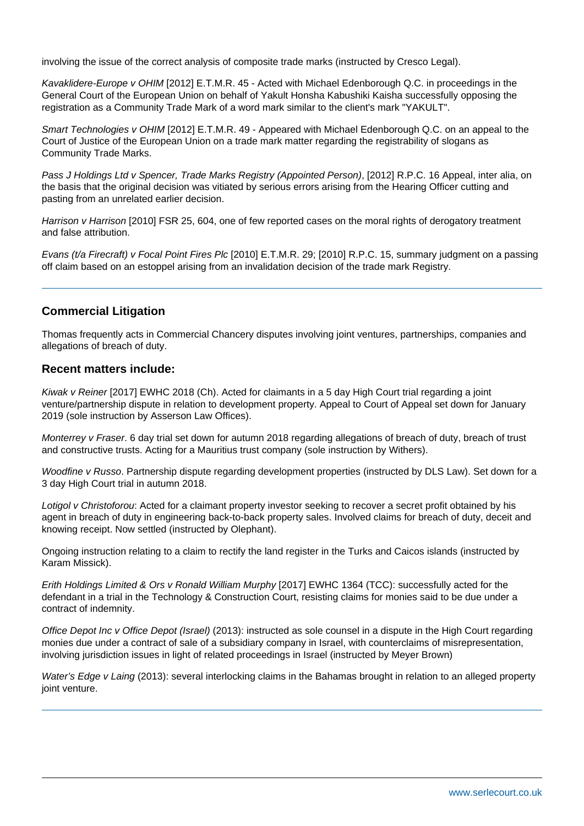involving the issue of the correct analysis of composite trade marks (instructed by Cresco Legal).

Kavaklidere-Europe v OHIM [2012] E.T.M.R. 45 - Acted with Michael Edenborough Q.C. in proceedings in the General Court of the European Union on behalf of Yakult Honsha Kabushiki Kaisha successfully opposing the registration as a Community Trade Mark of a word mark similar to the client's mark "YAKULT".

Smart Technologies v OHIM [2012] E.T.M.R. 49 - Appeared with Michael Edenborough Q.C. on an appeal to the Court of Justice of the European Union on a trade mark matter regarding the registrability of slogans as Community Trade Marks.

Pass J Holdings Ltd v Spencer, Trade Marks Registry (Appointed Person), [2012] R.P.C. 16 Appeal, inter alia, on the basis that the original decision was vitiated by serious errors arising from the Hearing Officer cutting and pasting from an unrelated earlier decision.

Harrison v Harrison [2010] FSR 25, 604, one of few reported cases on the moral rights of derogatory treatment and false attribution.

Evans (t/a Firecraft) v Focal Point Fires Plc [2010] E.T.M.R. 29; [2010] R.P.C. 15, summary judgment on a passing off claim based on an estoppel arising from an invalidation decision of the trade mark Registry.

## **Commercial Litigation**

Thomas frequently acts in Commercial Chancery disputes involving joint ventures, partnerships, companies and allegations of breach of duty.

#### **Recent matters include:**

Kiwak v Reiner [2017] EWHC 2018 (Ch). Acted for claimants in a 5 day High Court trial regarding a joint venture/partnership dispute in relation to development property. Appeal to Court of Appeal set down for January 2019 (sole instruction by Asserson Law Offices).

Monterrey v Fraser. 6 day trial set down for autumn 2018 regarding allegations of breach of duty, breach of trust and constructive trusts. Acting for a Mauritius trust company (sole instruction by Withers).

Woodfine v Russo. Partnership dispute regarding development properties (instructed by DLS Law). Set down for a 3 day High Court trial in autumn 2018.

Lotigol v Christoforou: Acted for a claimant property investor seeking to recover a secret profit obtained by his agent in breach of duty in engineering back-to-back property sales. Involved claims for breach of duty, deceit and knowing receipt. Now settled (instructed by Olephant).

Ongoing instruction relating to a claim to rectify the land register in the Turks and Caicos islands (instructed by Karam Missick).

Erith Holdings Limited & Ors v Ronald William Murphy [2017] EWHC 1364 (TCC): successfully acted for the defendant in a trial in the Technology & Construction Court, resisting claims for monies said to be due under a contract of indemnity.

Office Depot Inc v Office Depot (Israel) (2013): instructed as sole counsel in a dispute in the High Court regarding monies due under a contract of sale of a subsidiary company in Israel, with counterclaims of misrepresentation, involving jurisdiction issues in light of related proceedings in Israel (instructed by Meyer Brown)

Water's Edge v Laing (2013): several interlocking claims in the Bahamas brought in relation to an alleged property joint venture.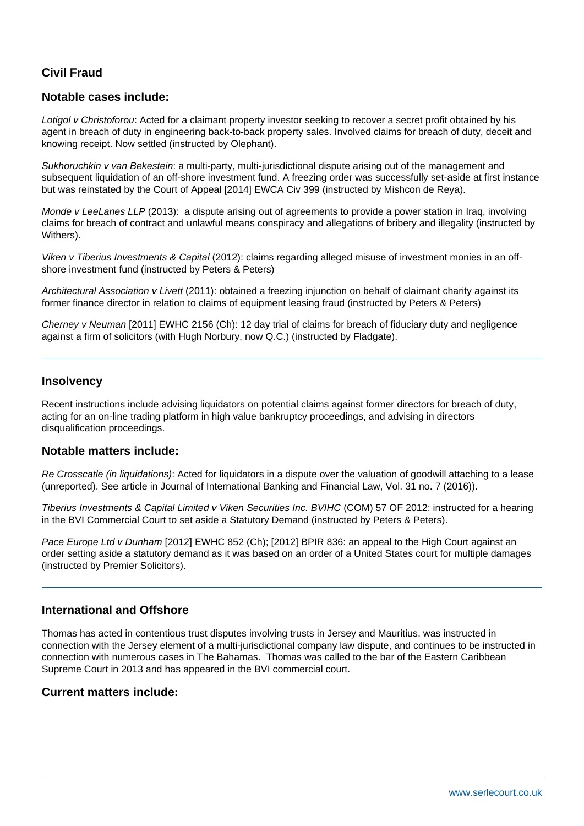## **Civil Fraud**

## **Notable cases include:**

Lotigol v Christoforou: Acted for a claimant property investor seeking to recover a secret profit obtained by his agent in breach of duty in engineering back-to-back property sales. Involved claims for breach of duty, deceit and knowing receipt. Now settled (instructed by Olephant).

Sukhoruchkin v van Bekestein: a multi-party, multi-jurisdictional dispute arising out of the management and subsequent liquidation of an off-shore investment fund. A freezing order was successfully set-aside at first instance but was reinstated by the Court of Appeal [2014] EWCA Civ 399 (instructed by Mishcon de Reya).

Monde v LeeLanes LLP (2013): a dispute arising out of agreements to provide a power station in Iraq, involving claims for breach of contract and unlawful means conspiracy and allegations of bribery and illegality (instructed by Withers).

Viken v Tiberius Investments & Capital (2012): claims regarding alleged misuse of investment monies in an offshore investment fund (instructed by Peters & Peters)

Architectural Association v Livett (2011): obtained a freezing injunction on behalf of claimant charity against its former finance director in relation to claims of equipment leasing fraud (instructed by Peters & Peters)

Cherney v Neuman [2011] EWHC 2156 (Ch): 12 day trial of claims for breach of fiduciary duty and negligence against a firm of solicitors (with Hugh Norbury, now Q.C.) (instructed by Fladgate).

### **Insolvency**

Recent instructions include advising liquidators on potential claims against former directors for breach of duty, acting for an on-line trading platform in high value bankruptcy proceedings, and advising in directors disqualification proceedings.

#### **Notable matters include:**

Re Crosscatle (in liquidations): Acted for liquidators in a dispute over the valuation of goodwill attaching to a lease (unreported). See article in Journal of International Banking and Financial Law, Vol. 31 no. 7 (2016)).

Tiberius Investments & Capital Limited v Viken Securities Inc. BVIHC (COM) 57 OF 2012: instructed for a hearing in the BVI Commercial Court to set aside a Statutory Demand (instructed by Peters & Peters).

Pace Europe Ltd v Dunham [2012] EWHC 852 (Ch); [2012] BPIR 836: an appeal to the High Court against an order setting aside a statutory demand as it was based on an order of a United States court for multiple damages (instructed by Premier Solicitors).

### **International and Offshore**

Thomas has acted in contentious trust disputes involving trusts in Jersey and Mauritius, was instructed in connection with the Jersey element of a multi-jurisdictional company law dispute, and continues to be instructed in connection with numerous cases in The Bahamas. Thomas was called to the bar of the Eastern Caribbean Supreme Court in 2013 and has appeared in the BVI commercial court.

## **Current matters include:**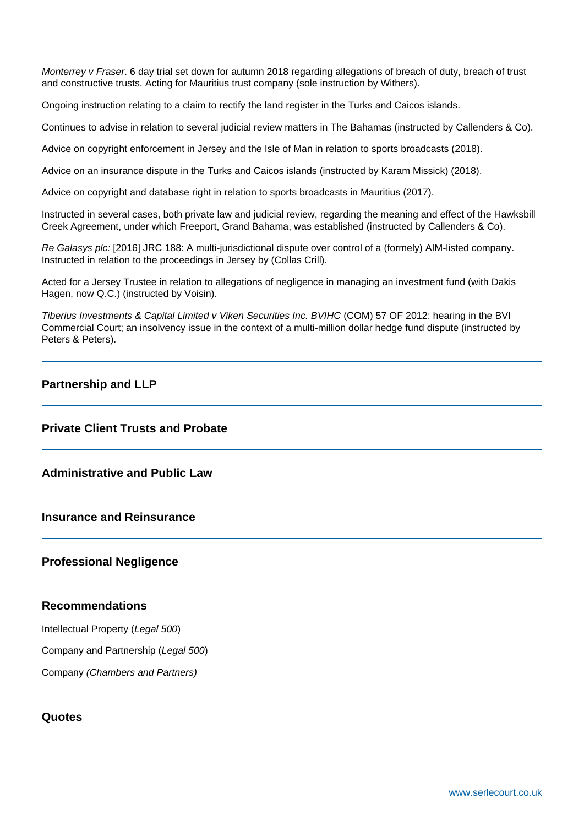Monterrey v Fraser. 6 day trial set down for autumn 2018 regarding allegations of breach of duty, breach of trust and constructive trusts. Acting for Mauritius trust company (sole instruction by Withers).

Ongoing instruction relating to a claim to rectify the land register in the Turks and Caicos islands.

Continues to advise in relation to several judicial review matters in The Bahamas (instructed by Callenders & Co).

Advice on copyright enforcement in Jersey and the Isle of Man in relation to sports broadcasts (2018).

Advice on an insurance dispute in the Turks and Caicos islands (instructed by Karam Missick) (2018).

Advice on copyright and database right in relation to sports broadcasts in Mauritius (2017).

Instructed in several cases, both private law and judicial review, regarding the meaning and effect of the Hawksbill Creek Agreement, under which Freeport, Grand Bahama, was established (instructed by Callenders & Co).

Re Galasys plc: [2016] JRC 188: A multi-jurisdictional dispute over control of a (formely) AIM-listed company. Instructed in relation to the proceedings in Jersey by (Collas Crill).

Acted for a Jersey Trustee in relation to allegations of negligence in managing an investment fund (with Dakis Hagen, now Q.C.) (instructed by Voisin).

Tiberius Investments & Capital Limited v Viken Securities Inc. BVIHC (COM) 57 OF 2012: hearing in the BVI Commercial Court; an insolvency issue in the context of a multi-million dollar hedge fund dispute (instructed by Peters & Peters).

### **Partnership and LLP**

## **Private Client Trusts and Probate**

## **Administrative and Public Law**

#### **Insurance and Reinsurance**

#### **Professional Negligence**

### **Recommendations**

Intellectual Property (Legal 500)

Company and Partnership (Legal 500)

Company (Chambers and Partners)

#### **Quotes**